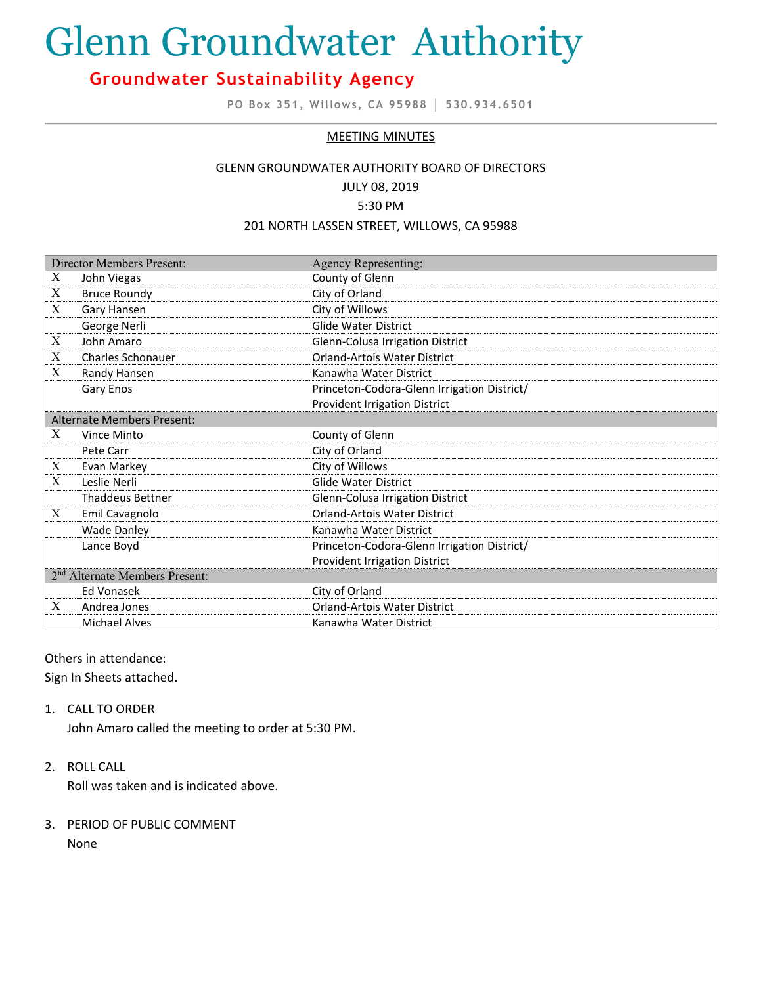# Glenn Groundwater Authority

# **Groundwater Sustainability Agency**

**PO Box 351, Willows, CA 95988 │ 530.934.6501**

#### MEETING MINUTES

## GLENN GROUNDWATER AUTHORITY BOARD OF DIRECTORS JULY 08, 2019

#### 5:30 PM

#### 201 NORTH LASSEN STREET, WILLOWS, CA 95988

| Director Members Present:  |                                            | <b>Agency Representing:</b>                 |
|----------------------------|--------------------------------------------|---------------------------------------------|
| Χ                          | John Viegas                                | County of Glenn                             |
| X                          | <b>Bruce Roundy</b>                        | City of Orland                              |
| X                          | Gary Hansen                                | City of Willows                             |
|                            | George Nerli                               | <b>Glide Water District</b>                 |
| $\boldsymbol{X}$           | John Amaro                                 | Glenn-Colusa Irrigation District            |
| X                          | Charles Schonauer                          | <b>Orland-Artois Water District</b>         |
| X                          | Randy Hansen                               | Kanawha Water District                      |
|                            | Gary Enos                                  | Princeton-Codora-Glenn Irrigation District/ |
|                            |                                            | <b>Provident Irrigation District</b>        |
| Alternate Members Present: |                                            |                                             |
| X                          | Vince Minto                                | County of Glenn                             |
|                            | Pete Carr                                  | City of Orland                              |
| X                          | Evan Markey                                | City of Willows                             |
| X                          | Leslie Nerli                               | <b>Glide Water District</b>                 |
|                            | <b>Thaddeus Bettner</b>                    | Glenn-Colusa Irrigation District            |
| X                          | Emil Cavagnolo                             | <b>Orland-Artois Water District</b>         |
|                            | <b>Wade Danley</b>                         | Kanawha Water District                      |
|                            | Lance Boyd                                 | Princeton-Codora-Glenn Irrigation District/ |
|                            |                                            | <b>Provident Irrigation District</b>        |
|                            | 2 <sup>nd</sup> Alternate Members Present: |                                             |
|                            | Ed Vonasek                                 | City of Orland                              |
| X                          | Andrea Jones                               | <b>Orland-Artois Water District</b>         |
|                            | <b>Michael Alves</b>                       | Kanawha Water District                      |

## Others in attendance:

Sign In Sheets attached.

### 1. CALL TO ORDER

John Amaro called the meeting to order at 5:30 PM.

## 2. ROLL CALL

Roll was taken and is indicated above.

# 3. PERIOD OF PUBLIC COMMENT

None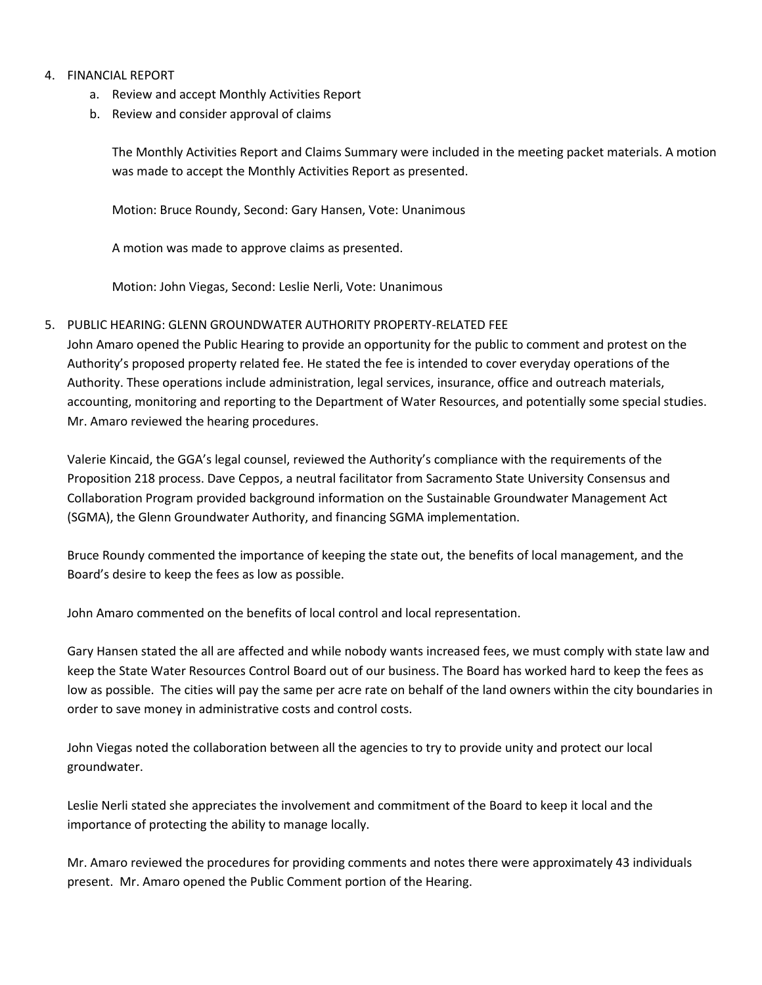## 4. FINANCIAL REPORT

- a. Review and accept Monthly Activities Report
- b. Review and consider approval of claims

The Monthly Activities Report and Claims Summary were included in the meeting packet materials. A motion was made to accept the Monthly Activities Report as presented.

Motion: Bruce Roundy, Second: Gary Hansen, Vote: Unanimous

A motion was made to approve claims as presented.

Motion: John Viegas, Second: Leslie Nerli, Vote: Unanimous

## 5. PUBLIC HEARING: GLENN GROUNDWATER AUTHORITY PROPERTY-RELATED FEE

John Amaro opened the Public Hearing to provide an opportunity for the public to comment and protest on the Authority's proposed property related fee. He stated the fee is intended to cover everyday operations of the Authority. These operations include administration, legal services, insurance, office and outreach materials, accounting, monitoring and reporting to the Department of Water Resources, and potentially some special studies. Mr. Amaro reviewed the hearing procedures.

Valerie Kincaid, the GGA's legal counsel, reviewed the Authority's compliance with the requirements of the Proposition 218 process. Dave Ceppos, a neutral facilitator from Sacramento State University Consensus and Collaboration Program provided background information on the Sustainable Groundwater Management Act (SGMA), the Glenn Groundwater Authority, and financing SGMA implementation.

Bruce Roundy commented the importance of keeping the state out, the benefits of local management, and the Board's desire to keep the fees as low as possible.

John Amaro commented on the benefits of local control and local representation.

Gary Hansen stated the all are affected and while nobody wants increased fees, we must comply with state law and keep the State Water Resources Control Board out of our business. The Board has worked hard to keep the fees as low as possible. The cities will pay the same per acre rate on behalf of the land owners within the city boundaries in order to save money in administrative costs and control costs.

John Viegas noted the collaboration between all the agencies to try to provide unity and protect our local groundwater.

Leslie Nerli stated she appreciates the involvement and commitment of the Board to keep it local and the importance of protecting the ability to manage locally.

Mr. Amaro reviewed the procedures for providing comments and notes there were approximately 43 individuals present. Mr. Amaro opened the Public Comment portion of the Hearing.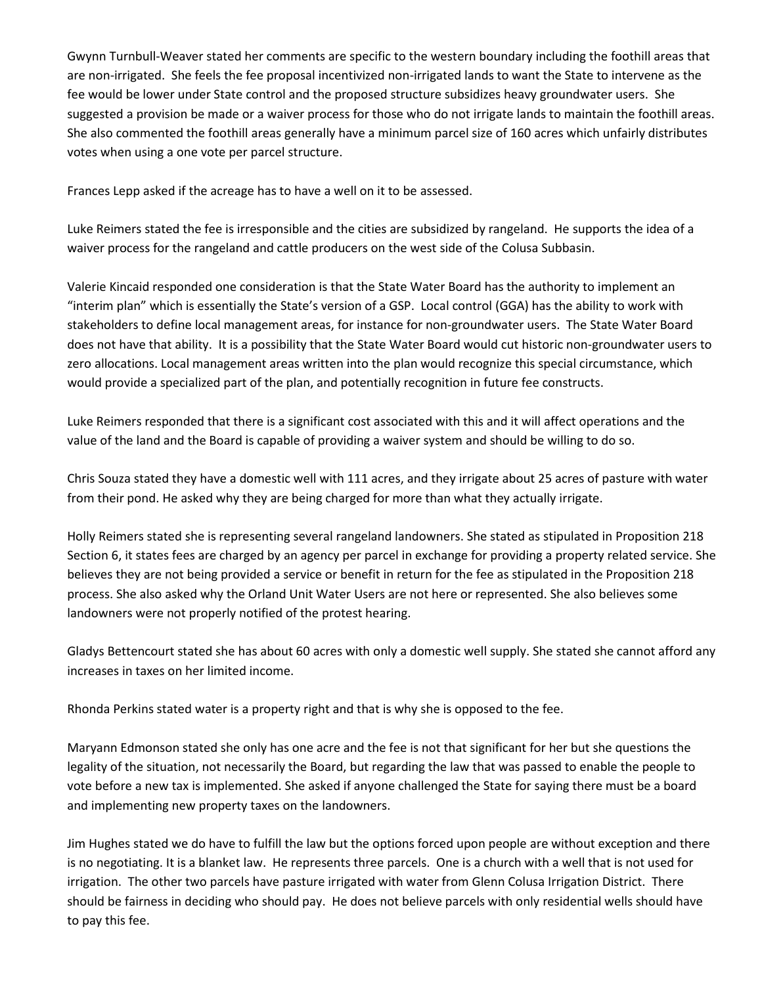Gwynn Turnbull-Weaver stated her comments are specific to the western boundary including the foothill areas that are non-irrigated. She feels the fee proposal incentivized non-irrigated lands to want the State to intervene as the fee would be lower under State control and the proposed structure subsidizes heavy groundwater users. She suggested a provision be made or a waiver process for those who do not irrigate lands to maintain the foothill areas. She also commented the foothill areas generally have a minimum parcel size of 160 acres which unfairly distributes votes when using a one vote per parcel structure.

Frances Lepp asked if the acreage has to have a well on it to be assessed.

Luke Reimers stated the fee is irresponsible and the cities are subsidized by rangeland. He supports the idea of a waiver process for the rangeland and cattle producers on the west side of the Colusa Subbasin.

Valerie Kincaid responded one consideration is that the State Water Board has the authority to implement an "interim plan" which is essentially the State's version of a GSP. Local control (GGA) has the ability to work with stakeholders to define local management areas, for instance for non-groundwater users. The State Water Board does not have that ability. It is a possibility that the State Water Board would cut historic non-groundwater users to zero allocations. Local management areas written into the plan would recognize this special circumstance, which would provide a specialized part of the plan, and potentially recognition in future fee constructs.

Luke Reimers responded that there is a significant cost associated with this and it will affect operations and the value of the land and the Board is capable of providing a waiver system and should be willing to do so.

Chris Souza stated they have a domestic well with 111 acres, and they irrigate about 25 acres of pasture with water from their pond. He asked why they are being charged for more than what they actually irrigate.

Holly Reimers stated she is representing several rangeland landowners. She stated as stipulated in Proposition 218 Section 6, it states fees are charged by an agency per parcel in exchange for providing a property related service. She believes they are not being provided a service or benefit in return for the fee as stipulated in the Proposition 218 process. She also asked why the Orland Unit Water Users are not here or represented. She also believes some landowners were not properly notified of the protest hearing.

Gladys Bettencourt stated she has about 60 acres with only a domestic well supply. She stated she cannot afford any increases in taxes on her limited income.

Rhonda Perkins stated water is a property right and that is why she is opposed to the fee.

Maryann Edmonson stated she only has one acre and the fee is not that significant for her but she questions the legality of the situation, not necessarily the Board, but regarding the law that was passed to enable the people to vote before a new tax is implemented. She asked if anyone challenged the State for saying there must be a board and implementing new property taxes on the landowners.

Jim Hughes stated we do have to fulfill the law but the options forced upon people are without exception and there is no negotiating. It is a blanket law. He represents three parcels. One is a church with a well that is not used for irrigation. The other two parcels have pasture irrigated with water from Glenn Colusa Irrigation District. There should be fairness in deciding who should pay. He does not believe parcels with only residential wells should have to pay this fee.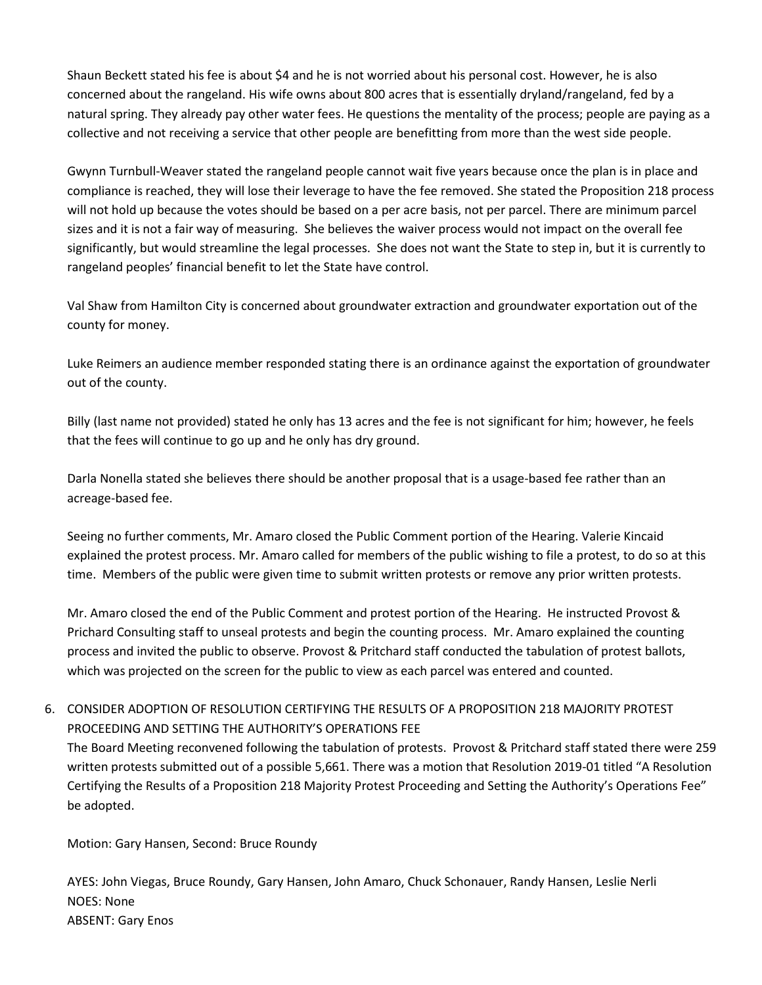Shaun Beckett stated his fee is about \$4 and he is not worried about his personal cost. However, he is also concerned about the rangeland. His wife owns about 800 acres that is essentially dryland/rangeland, fed by a natural spring. They already pay other water fees. He questions the mentality of the process; people are paying as a collective and not receiving a service that other people are benefitting from more than the west side people.

Gwynn Turnbull-Weaver stated the rangeland people cannot wait five years because once the plan is in place and compliance is reached, they will lose their leverage to have the fee removed. She stated the Proposition 218 process will not hold up because the votes should be based on a per acre basis, not per parcel. There are minimum parcel sizes and it is not a fair way of measuring. She believes the waiver process would not impact on the overall fee significantly, but would streamline the legal processes. She does not want the State to step in, but it is currently to rangeland peoples' financial benefit to let the State have control.

Val Shaw from Hamilton City is concerned about groundwater extraction and groundwater exportation out of the county for money.

Luke Reimers an audience member responded stating there is an ordinance against the exportation of groundwater out of the county.

Billy (last name not provided) stated he only has 13 acres and the fee is not significant for him; however, he feels that the fees will continue to go up and he only has dry ground.

Darla Nonella stated she believes there should be another proposal that is a usage-based fee rather than an acreage-based fee.

Seeing no further comments, Mr. Amaro closed the Public Comment portion of the Hearing. Valerie Kincaid explained the protest process. Mr. Amaro called for members of the public wishing to file a protest, to do so at this time. Members of the public were given time to submit written protests or remove any prior written protests.

Mr. Amaro closed the end of the Public Comment and protest portion of the Hearing. He instructed Provost & Prichard Consulting staff to unseal protests and begin the counting process. Mr. Amaro explained the counting process and invited the public to observe. Provost & Pritchard staff conducted the tabulation of protest ballots, which was projected on the screen for the public to view as each parcel was entered and counted.

# 6. CONSIDER ADOPTION OF RESOLUTION CERTIFYING THE RESULTS OF A PROPOSITION 218 MAJORITY PROTEST PROCEEDING AND SETTING THE AUTHORITY'S OPERATIONS FEE

The Board Meeting reconvened following the tabulation of protests. Provost & Pritchard staff stated there were 259 written protests submitted out of a possible 5,661. There was a motion that Resolution 2019-01 titled "A Resolution Certifying the Results of a Proposition 218 Majority Protest Proceeding and Setting the Authority's Operations Fee" be adopted.

Motion: Gary Hansen, Second: Bruce Roundy

AYES: John Viegas, Bruce Roundy, Gary Hansen, John Amaro, Chuck Schonauer, Randy Hansen, Leslie Nerli NOES: None ABSENT: Gary Enos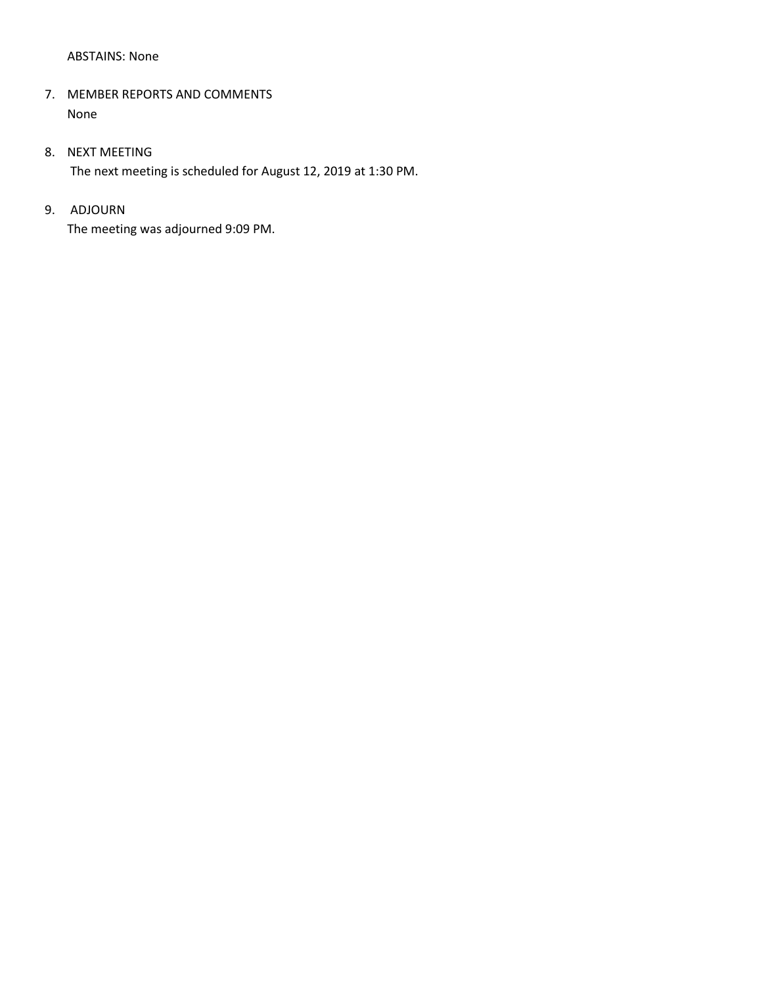### ABSTAINS: None

## 7. MEMBER REPORTS AND COMMENTS None

## 8. NEXT MEETING

The next meeting is scheduled for August 12, 2019 at 1:30 PM.

# 9. ADJOURN

The meeting was adjourned 9:09 PM.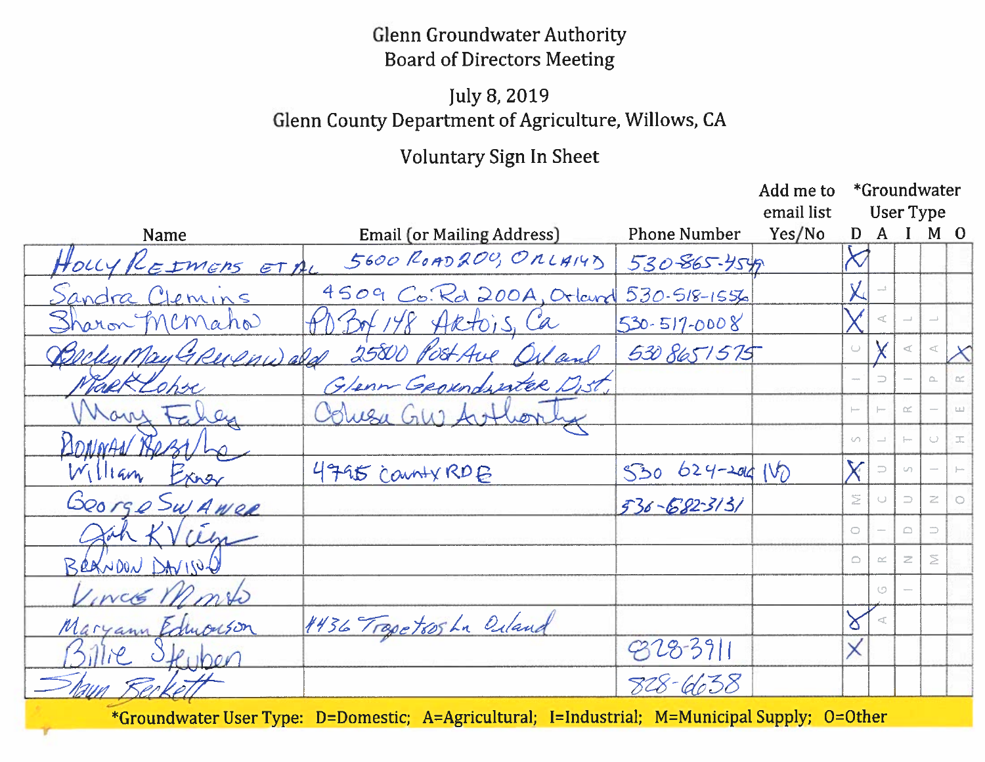# **Glenn Groundwater Authority Board of Directors Meeting**

# July 8, 2019 Glenn County Department of Agriculture, Willows, CA

# Voluntary Sign In Sheet

|                       |                                   |                                                                              | Add me to            | *Groundwater<br>User Type |              |          |                |       |
|-----------------------|-----------------------------------|------------------------------------------------------------------------------|----------------------|---------------------------|--------------|----------|----------------|-------|
| Name                  | <b>Email (or Mailing Address)</b> | <b>Phone Number</b>                                                          | email list<br>Yes/No | D                         | $\mathbf{A}$ |          | M <sub>o</sub> |       |
| HOLLY REIMERS ETAL    | 5600 ROAD200, ORLAIYY             | 530-865-4549                                                                 |                      |                           |              |          |                |       |
| <u>Sandra Clemins</u> | 4509 Co. Rd 200A, Orland          | $530 - 518 - 1556$                                                           |                      |                           |              |          |                |       |
| Sharon Memaho         | Bot 148 Aktois, Ca                | $530 - 517 - 0008$                                                           |                      |                           |              |          |                |       |
| Becker May GRUPHWald  | 25800 Post Ave Orland             | 530 8651575                                                                  |                      | $\cup$                    |              |          |                |       |
| Tack Lohre            | Glenn Georgenderster Dist,        |                                                                              |                      |                           |              |          | $\simeq$       |       |
| ar                    | Coluza Gue Arthor                 |                                                                              |                      | $\vdash$                  |              | $\simeq$ |                |       |
| 10NWA                 |                                   |                                                                              |                      | S.                        |              |          | $\cup$         | $\pm$ |
| V(114m)<br>Exner      | 4795 Canty RDB                    | $530624 - 20410$                                                             |                      | $\bm{\mathsf{X}}$         |              | Un.      |                |       |
| George Swawer         |                                   | 536-682-3131                                                                 |                      | $\geq$                    |              | ⊃        | z              |       |
| $\lambda$ ah<br>$\mu$ |                                   |                                                                              |                      | Ō                         |              | ≏        | $\Rightarrow$  |       |
| BRAYDON DAVISON       |                                   |                                                                              |                      | ≏                         | $\simeq$     | z        | $\geq$         |       |
| $I_{INCE}$ $\gamma$   |                                   |                                                                              |                      |                           | O            |          |                |       |
| Maryann Edwarson      | 1436 Trapetosha Orland            |                                                                              |                      | δ                         |              |          |                |       |
| Puben                 |                                   | $828 - 3911$                                                                 |                      | X                         |              |          |                |       |
|                       |                                   | 828-6638                                                                     |                      |                           |              |          |                |       |
|                       | <b>AA</b>                         | $\mathbf{M}$ is $\mathbf{M}$ in $\mathbf{M}$ in $\mathbf{M}$ in $\mathbf{M}$ |                      |                           |              |          |                |       |

\*Groundwater User Type: D=Domestic; A=Agricultural; T=Industrial; M=Municipal Supply; O=Other